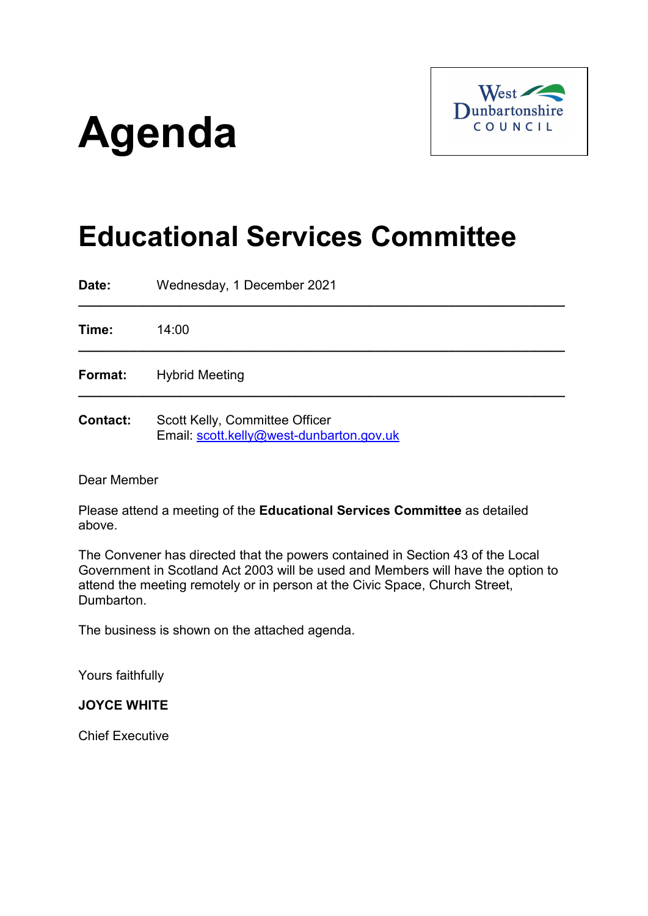# **Agenda**



# **Educational Services Committee**

**Date:** Wednesday, 1 December 2021 **\_\_\_\_\_\_\_\_\_\_\_\_\_\_\_\_\_\_\_\_\_\_\_\_\_\_\_\_\_\_\_\_\_\_\_\_\_\_\_\_\_\_\_\_\_\_\_\_\_\_\_\_\_\_\_\_\_\_\_\_\_\_\_\_\_\_\_ Time:** 14:00 **\_\_\_\_\_\_\_\_\_\_\_\_\_\_\_\_\_\_\_\_\_\_\_\_\_\_\_\_\_\_\_\_\_\_\_\_\_\_\_\_\_\_\_\_\_\_\_\_\_\_\_\_\_\_\_\_\_\_\_\_\_\_\_\_\_\_\_ Format:** Hybrid Meeting **\_\_\_\_\_\_\_\_\_\_\_\_\_\_\_\_\_\_\_\_\_\_\_\_\_\_\_\_\_\_\_\_\_\_\_\_\_\_\_\_\_\_\_\_\_\_\_\_\_\_\_\_\_\_\_\_\_\_\_\_\_\_\_\_\_\_\_ Contact:** Scott Kelly, Committee Officer Email: [scott.kelly@west-dunbarton.gov.uk](mailto:scott.kelly@west-dunbarton.gov.uk)

Dear Member

Please attend a meeting of the **Educational Services Committee** as detailed above.

The Convener has directed that the powers contained in Section 43 of the Local Government in Scotland Act 2003 will be used and Members will have the option to attend the meeting remotely or in person at the Civic Space, Church Street, Dumbarton.

The business is shown on the attached agenda.

Yours faithfully

#### **JOYCE WHITE**

Chief Executive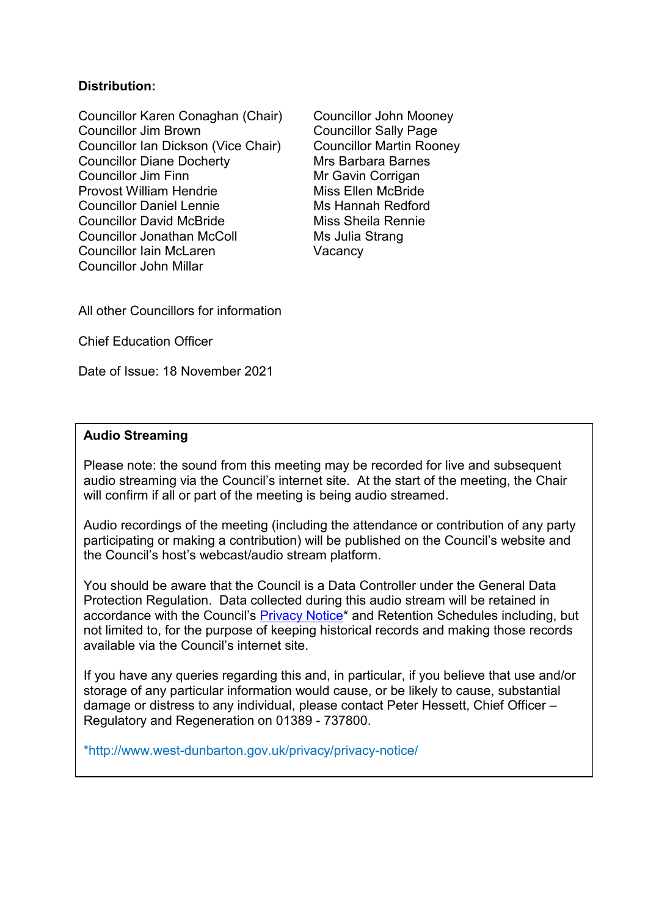# **Distribution:**

Councillor Karen Conaghan (Chair) Councillor John Mooney Councillor Jim Brown Councillor Sally Page Councillor Ian Dickson (Vice Chair) Councillor Martin Rooney<br>Councillor Diane Docherty Mrs Barbara Barnes Councillor Diane Docherty Councillor Jim Finn Mr Gavin Corrigan Provost William Hendrie Miss Ellen McBride Councillor Daniel Lennie Ms Hannah Redford Councillor David McBride Miss Sheila Rennie Councillor Jonathan McColl Ms Julia Strang Councillor Iain McLaren Vacancy Councillor John Millar

All other Councillors for information

Chief Education Officer

Date of Issue: 18 November 2021

#### **Audio Streaming**

Please note: the sound from this meeting may be recorded for live and subsequent audio streaming via the Council's internet site. At the start of the meeting, the Chair will confirm if all or part of the meeting is being audio streamed.

Audio recordings of the meeting (including the attendance or contribution of any party participating or making a contribution) will be published on the Council's website and the Council's host's webcast/audio stream platform.

You should be aware that the Council is a Data Controller under the General Data Protection Regulation. Data collected during this audio stream will be retained in accordance with the Council's **Privacy Notice**\* and Retention Schedules including, but not limited to, for the purpose of keeping historical records and making those records available via the Council's internet site.

If you have any queries regarding this and, in particular, if you believe that use and/or storage of any particular information would cause, or be likely to cause, substantial damage or distress to any individual, please contact Peter Hessett, Chief Officer – Regulatory and Regeneration on 01389 - 737800.

\*http://www.west-dunbarton.gov.uk/privacy/privacy-notice/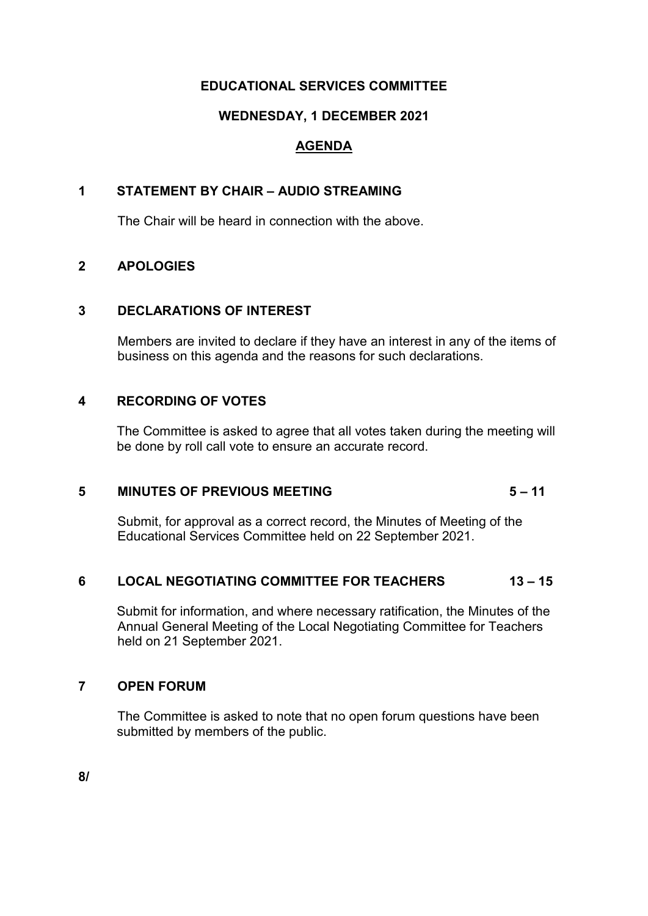# **EDUCATIONAL SERVICES COMMITTEE**

# **WEDNESDAY, 1 DECEMBER 2021**

# **AGENDA**

# **1 STATEMENT BY CHAIR – AUDIO STREAMING**

The Chair will be heard in connection with the above.

# **2 APOLOGIES**

# **3 DECLARATIONS OF INTEREST**

Members are invited to declare if they have an interest in any of the items of business on this agenda and the reasons for such declarations.

# **4 RECORDING OF VOTES**

The Committee is asked to agree that all votes taken during the meeting will be done by roll call vote to ensure an accurate record.

# **5 MINUTES OF PREVIOUS MEETING 5 – 11**

Submit, for approval as a correct record, the Minutes of Meeting of the Educational Services Committee held on 22 September 2021.

# **6 LOCAL NEGOTIATING COMMITTEE FOR TEACHERS 13 – 15**

Submit for information, and where necessary ratification, the Minutes of the Annual General Meeting of the Local Negotiating Committee for Teachers held on 21 September 2021.

# **7 OPEN FORUM**

The Committee is asked to note that no open forum questions have been submitted by members of the public.